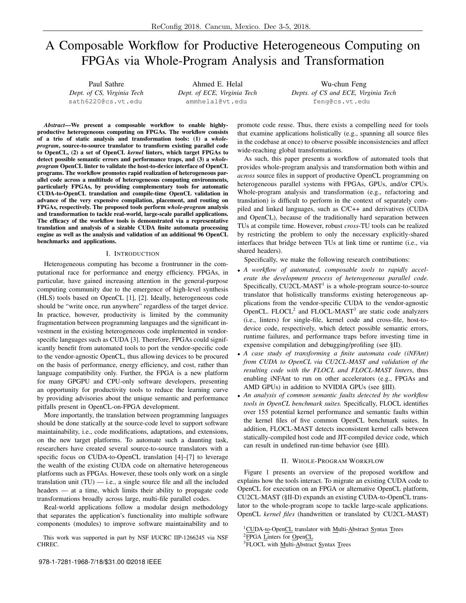# A Composable Workflow for Productive Heterogeneous Computing on FPGAs via Whole-Program Analysis and Transformation

Paul Sathre *Dept. of CS, Virginia Tech* sath6220@cs.vt.edu

Ahmed E. Helal *Dept. of ECE, Virginia Tech* ammhelal@vt.edu

Wu-chun Feng *Depts. of CS and ECE, Virginia Tech* feng@cs.vt.edu

*Abstract*—We present a composable workflow to enable highlyproductive heterogeneous computing on FPGAs. The workflow consists of a trio of static analysis and transformation tools: (1) a *wholeprogram*, source-to-source translator to transform existing parallel code to OpenCL, (2) a set of OpenCL *kernel* linters, which target FPGAs to detect possible semantic errors and performance traps, and (3) a *wholeprogram* OpenCL linter to validate the host-to-device interface of OpenCL programs. The workflow promotes rapid realization of heterogeneous parallel code across a multitude of heterogeneous computing environments, particularly FPGAs, by providing complementary tools for automatic CUDA-to-OpenCL translation and compile-time OpenCL validation in advance of the very expensive compilation, placement, and routing on FPGAs, respectively. The proposed tools perform *whole-program* analysis and transformation to tackle real-world, large-scale parallel applications. The efficacy of the workflow tools is demonstrated via a representative translation and analysis of a sizable CUDA finite automata processing engine as well as the analysis and validation of an additional 96 OpenCL benchmarks and applications.

#### I. INTRODUCTION

Heterogeneous computing has become a frontrunner in the computational race for performance and energy efficiency. FPGAs, in particular, have gained increasing attention in the general-purpose computing community due to the emergence of high-level synthesis (HLS) tools based on OpenCL [1], [2]. Ideally, heterogeneous code should be "write once, run anywhere" regardless of the target device. In practice, however, productivity is limited by the community fragmentation between programming languages and the significant investment in the existing heterogeneous code implemented in vendorspecific languages such as CUDA [3]. Therefore, FPGAs could significantly benefit from automated tools to port the vendor-specific code to the vendor-agnostic OpenCL, thus allowing devices to be procured on the basis of performance, energy efficiency, and cost, rather than language compatibility only. Further, the FPGA is a new platform for many GPGPU and CPU-only software developers, presenting an opportunity for productivity tools to reduce the learning curve by providing advisories about the unique semantic and performance pitfalls present in OpenCL-on-FPGA development.

More importantly, the translation between programming languages should be done statically at the source-code level to support software maintainability, i.e., code modifications, adaptations, and extensions, on the new target platforms. To automate such a daunting task, researchers have created several source-to-source translators with a specific focus on CUDA-to-OpenCL translation [4]–[7] to leverage the wealth of the existing CUDA code on alternative heterogeneous platforms such as FPGAs. However, these tools only work on a single translation unit  $(TU)$  — i.e., a single source file and all the included headers — at a time, which limits their ability to propagate code transformations broadly across large, multi-file parallel codes.

Real-world applications follow a modular design methodology that separates the application's functionality into multiple software components (modules) to improve software maintainability and to

This work was supported in part by NSF I/UCRC IIP-1266245 via NSF CHREC.

promote code reuse. Thus, there exists a compelling need for tools that examine applications holistically (e.g., spanning all source files in the codebase at once) to observe possible inconsistencies and affect wide-reaching global transformations.

As such, this paper presents a workflow of automated tools that provides whole-program analysis and transformation both within and *across* source files in support of productive OpenCL programming on heterogeneous parallel systems with FPGAs, GPUs, and/or CPUs. Whole-program analysis and transformation (e.g., refactoring and translation) is difficult to perform in the context of separately compiled and linked languages, such as C/C++ and derivatives (CUDA and OpenCL), because of the traditionally hard separation between TUs at compile time. However, robust *cross*-TU tools can be realized by restricting the problem to only the necessary explicitly-shared interfaces that bridge between TUs at link time or runtime (i.e., via shared headers).

Specifically, we make the following research contributions:

- *A workflow of automated, composable tools to rapidly accelerate the development process of heterogeneous parallel code.* Specifically,  $CU2CL-MAST<sup>1</sup>$  is a whole-program source-to-source translator that holistically transforms existing heterogeneous applications from the vendor-specific CUDA to the vendor-agnostic OpenCL.  $FLOCL<sup>2</sup>$  and  $FLOCL-MAST<sup>3</sup>$  are static code analyzers (i.e., linters) for single-file, kernel code and cross-file, host-todevice code, respectively, which detect possible semantic errors, runtime failures, and performance traps before investing time in expensive compilation and debugging/profiling (see §II).
- *A case study of transforming a finite automata code (iNFAnt) from CUDA to OpenCL via CU2CL-MAST and validation of the resulting code with the FLOCL and FLOCL-MAST linters*, thus enabling iNFAnt to run on other accelerators (e.g., FPGAs and AMD GPUs) in addition to NVIDIA GPUs (see §III).
- *An analysis of common semantic faults detected by the workflow tools in OpenCL benchmark suites.* Specifically, FLOCL identifies over 155 potential kernel performance and semantic faults within the kernel files of five common OpenCL benchmark suites. In addition, FLOCL-MAST detects inconsistent kernel calls between statically-compiled host code and JIT-compiled device code, which can result in undefined run-time behavior (see §III).

## II. WHOLE-PROGRAM WORKFLOW

Figure 1 presents an overview of the proposed workflow and explains how the tools interact. To migrate an existing CUDA code to OpenCL for execution on an FPGA or alternative OpenCL platform, CU2CL-MAST (§II-D) expands an existing CUDA-to-OpenCL translator to the whole-program scope to tackle large-scale applications. OpenCL *kernel files* (handwritten or translated by CU2CL-MAST)

<sup>&</sup>lt;sup>1</sup>CUDA-to-OpenCL translator with Multi-Abstract Syntax Trees

<sup>&</sup>lt;sup>2</sup> EPGA Linters for **OpenCL** 

 $3$ FLOCL with Multi-Abstract Syntax Trees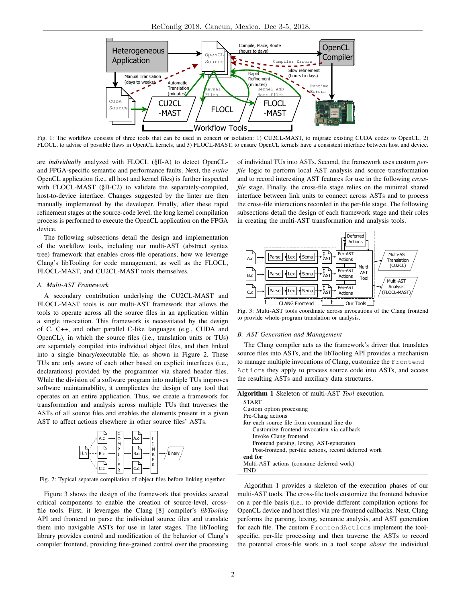

Fig. 1: The workflow consists of three tools that can be used in concert or isolation: 1) CU2CL-MAST, to migrate existing CUDA codes to OpenCL, 2) FLOCL, to advise of possible flaws in OpenCL kernels, and 3) FLOCL-MAST, to ensure OpenCL kernels have a consistent interface between host and device.

are *individually* analyzed with FLOCL (§II-A) to detect OpenCLand FPGA-specific semantic and performance faults. Next, the *entire* OpenCL application (i.e., all host and kernel files) is further inspected with FLOCL-MAST (§II-C2) to validate the separately-compiled, host-to-device interface. Changes suggested by the linter are then manually implemented by the developer. Finally, after these rapid refinement stages at the source-code level, the long kernel compilation process is performed to execute the OpenCL application on the FPGA device.

The following subsections detail the design and implementation of the workflow tools, including our multi-AST (abstract syntax tree) framework that enables cross-file operations, how we leverage Clang's libTooling for code management, as well as the FLOCL, FLOCL-MAST, and CU2CL-MAST tools themselves.

## *A. Multi-AST Framework*

A secondary contribution underlying the CU2CL-MAST and FLOCL-MAST tools is our multi-AST framework that allows the tools to operate across all the source files in an application within a single invocation. This framework is necessitated by the design of C, C++, and other parallel C-like languages (e.g., CUDA and OpenCL), in which the source files (i.e., translation units or TUs) are separately compiled into individual object files, and then linked into a single binary/executable file, as shown in Figure 2. These TUs are only aware of each other based on explicit interfaces (i.e., declarations) provided by the programmer via shared header files. While the division of a software program into multiple TUs improves software maintainability, it complicates the design of any tool that operates on an entire application. Thus, we create a framework for transformation and analysis across multiple TUs that traverses the ASTs of all source files and enables the elements present in a given AST to affect actions elsewhere in other source files' ASTs.



Fig. 2: Typical separate compilation of object files before linking together.

Figure 3 shows the design of the framework that provides several critical components to enable the creation of source-level, crossfile tools. First, it leverages the Clang [8] compiler's *libTooling* API and frontend to parse the individual source files and translate them into navigable ASTs for use in later stages. The libTooling library provides control and modification of the behavior of Clang's compiler frontend, providing fine-grained control over the processing

of individual TUs into ASTs. Second, the framework uses custom *perfile* logic to perform local AST analysis and source transformation and to record interesting AST features for use in the following *crossfile* stage. Finally, the cross-file stage relies on the minimal shared interface between link units to connect across ASTs and to process the cross-file interactions recorded in the per-file stage. The following subsections detail the design of each framework stage and their roles in creating the multi-AST transformation and analysis tools.



Fig. 3: Multi-AST tools coordinate across invocations of the Clang frontend to provide whole-program translation or analysis.

#### *B. AST Generation and Management*

The Clang compiler acts as the framework's driver that translates source files into ASTs, and the libTooling API provides a mechanism to manage multiple invocations of Clang, customize the Frontend-Actions they apply to process source code into ASTs, and access the resulting ASTs and auxiliary data structures.

| <b>Algorithm 1</b> Skeleton of multi-AST <i>Tool</i> execution. |  |  |  |  |
|-----------------------------------------------------------------|--|--|--|--|
| <b>START</b>                                                    |  |  |  |  |
| Custom option processing                                        |  |  |  |  |
| Pre-Clang actions                                               |  |  |  |  |
| for each source file from command line do                       |  |  |  |  |
| Customize frontend invocation via callback                      |  |  |  |  |
| Invoke Clang frontend                                           |  |  |  |  |
| Frontend parsing, lexing, AST-generation                        |  |  |  |  |
| Post-frontend, per-file actions, record deferred work           |  |  |  |  |
| end for                                                         |  |  |  |  |
| Multi-AST actions (consume deferred work)                       |  |  |  |  |
| END                                                             |  |  |  |  |

Algorithm 1 provides a skeleton of the execution phases of our multi-AST tools. The cross-file tools customize the frontend behavior on a per-file basis (i.e., to provide different compilation options for OpenCL device and host files) via pre-frontend callbacks. Next, Clang performs the parsing, lexing, semantic analysis, and AST generation for each file. The custom FrontendActions implement the toolspecific, per-file processing and then traverse the ASTs to record the potential cross-file work in a tool scope *above* the individual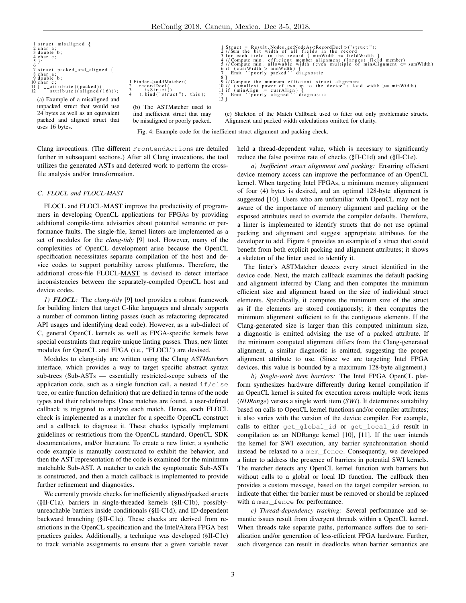| 1 struct misaligned {<br>2 char a:<br>3 double b:<br>4 char c;<br>$5$ };<br>7 struct packed_and_aligned {<br>8 char a:<br>$9$ double $b$ :<br>10 char c:<br>11 } -_attribute ((packed))<br>12 } __attribute ((aligned)<br>$\overline{\phantom{a}}$ $\overline{\phantom{a}}$ $\overline{\phantom{a}}$ attribute ((aligned (16)));<br>(a) Example of a misaligned and | Finder->addMatcher(<br>recordDecl(<br>is Struct ()<br>). bind $('$ struct "), this $);$           | $\pm$ Struct = Result. Nodes.getNodeAs <recorddecl <math="">&gt;("struct");<br/>2//Sum the bit width of all fields in the record<br/>3 for each field in the record { minWidth <math>+=</math> fieldWidth }<br/>4 // Compute min. efficient member alignment (largest field member)<br/><math>5</math> //Compute min. allowable width (even multiple of minAlignment <math>\leq</math> sumWidth)<br/>6 if <math>(currWidth &gt; minWidth)</math><br/>Emit "poorly packed" diagnostic<br/>8<br/>9//Compute the minimum efficient struct alignment<br/>10 // (smallest power of two up to the device, s load width <math>\ge</math> minWidth)<br/>11 if <math>(minAlign := currAlign)</math><br/>Emit "poorly aligned" diagnostic<br/>13)</recorddecl> |
|---------------------------------------------------------------------------------------------------------------------------------------------------------------------------------------------------------------------------------------------------------------------------------------------------------------------------------------------------------------------|---------------------------------------------------------------------------------------------------|------------------------------------------------------------------------------------------------------------------------------------------------------------------------------------------------------------------------------------------------------------------------------------------------------------------------------------------------------------------------------------------------------------------------------------------------------------------------------------------------------------------------------------------------------------------------------------------------------------------------------------------------------------------------------------------------------------------------------------------------------|
| unpacked struct that would use<br>24 bytes as well as an equivalent<br>packed and aligned struct that                                                                                                                                                                                                                                                               | (b) The ASTMatcher used to<br>find inefficient struct that may<br>be misaligned or poorly packed. | (c) Skeleton of the Match Callback used to filter out only problematic structs.<br>Alignment and packed width calculations omitted for clarity.                                                                                                                                                                                                                                                                                                                                                                                                                                                                                                                                                                                                      |
| uses 16 bytes.                                                                                                                                                                                                                                                                                                                                                      |                                                                                                   |                                                                                                                                                                                                                                                                                                                                                                                                                                                                                                                                                                                                                                                                                                                                                      |

Fig. 4: Example code for the inefficient struct alignment and packing check.

Clang invocations. (The different FrontendActions are detailed further in subsequent sections.) After all Clang invocations, the tool utilizes the generated ASTs and deferred work to perform the crossfile analysis and/or transformation.

### *C. FLOCL and FLOCL-MAST*

FLOCL and FLOCL-MAST improve the productivity of programmers in developing OpenCL applications for FPGAs by providing additional compile-time advisories about potential semantic or performance faults. The single-file, kernel linters are implemented as a set of modules for the *clang-tidy* [9] tool. However, many of the complexities of OpenCL development arise because the OpenCL specification necessitates separate compilation of the host and device codes to support portability across platforms. Therefore, the additional cross-file FLOCL-MAST is devised to detect interface inconsistencies between the separately-compiled OpenCL host and device codes.

*1) FLOCL:* The *clang-tidy* [9] tool provides a robust framework for building linters that target C-like languages and already supports a number of common linting passes (such as refactoring deprecated API usages and identifying dead code). However, as a sub-dialect of C, general OpenCL kernels as well as FPGA-specific kernels have special constraints that require unique linting passes. Thus, new linter modules for OpenCL and FPGA (i.e., "FLOCL") are devised.

Modules to clang-tidy are written using the Clang *ASTMatchers* interface, which provides a way to target specific abstract syntax sub-trees (Sub-ASTs — essentially restricted-scope subsets of the application code, such as a single function call, a nested  $if/else$ tree, or entire function definition) that are defined in terms of the node types and their relationships. Once matches are found, a user-defined callback is triggered to analyze each match. Hence, each FLOCL check is implemented as a matcher for a specific OpenCL construct and a callback to diagnose it. These checks typically implement guidelines or restrictions from the OpenCL standard, OpenCL SDK documentations, and/or literature. To create a new linter, a synthetic code example is manually constructed to exhibit the behavior, and then the AST representation of the code is examined for the minimum matchable Sub-AST. A matcher to catch the symptomatic Sub-ASTs is constructed, and then a match callback is implemented to provide further refinement and diagnostics.

We currently provide checks for inefficiently aligned/packed structs (§II-C1a), barriers in single-threaded kernels (§II-C1b), possiblyunreachable barriers inside conditionals (§II-C1d), and ID-dependent backward branching (§II-C1e). These checks are derived from restrictions in the OpenCL specification and the Intel/Altera FPGA best practices guides. Additionally, a technique was developed (§II-C1c) to track variable assignments to ensure that a given variable never held a thread-dependent value, which is necessary to significantly reduce the false positive rate of checks (§II-C1d) and (§II-C1e).

*a) Inefficient struct alignment and packing:* Ensuring efficient device memory access can improve the performance of an OpenCL kernel. When targeting Intel FPGAs, a minimum memory alignment of four (4) bytes is desired, and an optimal 128-byte alignment is suggested [10]. Users who are unfamiliar with OpenCL may not be aware of the importance of memory alignment and packing or the exposed attributes used to override the compiler defaults. Therefore, a linter is implemented to identify structs that do not use optimal packing and alignment and suggest appropriate attributes for the developer to add. Figure 4 provides an example of a struct that could benefit from both explicit packing and alignment attributes; it shows a skeleton of the linter used to identify it.

The linter's ASTMatcher detects every struct identified in the device code. Next, the match callback examines the default packing and alignment inferred by Clang and then computes the minimum efficient size and alignment based on the size of individual struct elements. Specifically, it computes the minimum size of the struct as if the elements are stored contiguously; it then computes the minimum alignment sufficient to fit the contiguous elements. If the Clang-generated size is larger than this computed minimum size, a diagnostic is emitted advising the use of a packed attribute. If the minimum computed alignment differs from the Clang-generated alignment, a similar diagnostic is emitted, suggesting the proper alignment attribute to use. (Since we are targeting Intel FPGA devices, this value is bounded by a maximum 128-byte alignment.)

*b) Single-work item barriers:* The Intel FPGA OpenCL platform synthesizes hardware differently during kernel compilation if an OpenCL kernel is suited for execution across multiple work items (*NDRange*) versus a single work item (*SWI*). It determines suitability based on calls to OpenCL kernel functions and/or compiler attributes; it also varies with the version of the device compiler. For example, calls to either get\_global\_id or get\_local\_id result in compilation as an NDRange kernel [10], [11]. If the user intends the kernel for SWI execution, any barrier synchronization should instead be relaxed to a mem\_fence. Consequently, we developed a linter to address the presence of barriers in potential SWI kernels. The matcher detects any OpenCL kernel function with barriers but without calls to a global or local ID function. The callback then provides a custom message, based on the target compiler version, to indicate that either the barrier must be removed or should be replaced with a mem\_fence for performance.

*c) Thread-dependency tracking:* Several performance and semantic issues result from divergent threads within a OpenCL kernel. When threads take separate paths, performance suffers due to serialization and/or generation of less-efficient FPGA hardware. Further, such divergence can result in deadlocks when barrier semantics are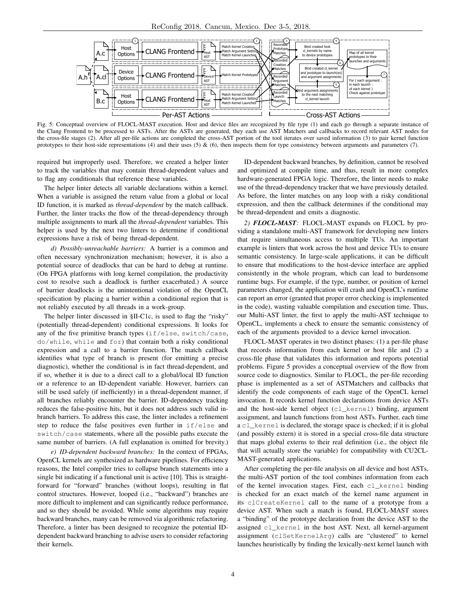ReConfig 2018. Cancun, Mexico. Dec 3-5, 2018.



Fig. 5: Conceptual overview of FLOCL-MAST execution. Host and device files are recognized by file type (1) and each go through a separate instance of the Clang Frontend to be processed to ASTs. After the ASTs are generated, they each use AST Matchers and callbacks to record relevant AST nodes for the cross-file stages (2). After all per-file actions are completed the cross-AST portion of the tool iterates over saved information (3) to pair kernel function prototypes to their host-side representations (4) and their uses (5) & (6), then inspects them for type consistency between arguments and parameters (7).

required but improperly used. Therefore, we created a helper linter to track the variables that may contain thread-dependent values and to flag any conditionals that reference these variables.

The helper linter detects all variable declarations within a kernel. When a variable is assigned the return value from a global or local ID function, it is marked as *thread-dependent* by the match callback. Further, the linter tracks the flow of the thread-dependency through multiple assignments to mark all the *thread-dependent* variables. This helper is used by the next two linters to determine if conditional expressions have a risk of being thread-dependent.

*d) Possibly-unreachable barriers:* A barrier is a common and often necessary synchronization mechanism; however, it is also a potential source of deadlocks that can be hard to debug at runtime. (On FPGA platforms with long kernel compilation, the productivity cost to resolve such a deadlock is further exacerbated.) A source of barrier deadlocks is the unintentional violation of the OpenCL specification by placing a barrier within a conditional region that is not reliably executed by all threads in a work-group.

The helper linter discussed in §II-C1c, is used to flag the "risky" (potentially thread-dependent) conditional expressions. It looks for any of the five primitive branch types (if/else, switch/case, do/while, while and for) that contain both a risky conditional expression and a call to a barrier function. The match callback identifies what type of branch is present (for emitting a precise diagnostic), whether the conditional is in fact thread-dependent, and if so, whether it is due to a direct call to a global/local ID function or a reference to an ID-dependent variable. However, barriers can still be used safely (if inefficiently) in a thread-dependent manner, if all branches reliably encounter the barrier. ID-dependency tracking reduces the false-positive hits, but it does not address such valid inbranch barriers. To address this case, the linter includes a refinement step to reduce the false positives even further in if/else and switch/case statements, where all the possible paths execute the same number of barriers. (A full explanation is omitted for brevity.)

*e) ID-dependent backward branches:* In the context of FPGAs, OpenCL kernels are synthesized as hardware pipelines. For efficiency reasons, the Intel compiler tries to collapse branch statements into a single bit indicating if a functional unit is active [10]. This is straightforward for "forward" branches (without loops), resulting in flat control structures. However, looped (i.e., "backward") branches are more difficult to implement and can significantly reduce performance, and so they should be avoided. While some algorithms may require backward branches, many can be removed via algorithmic refactoring. Therefore, a linter has been designed to recognize the potential IDdependent backward branching to advise users to consider refactoring their kernels.

ID-dependent backward branches, by definition, cannot be resolved and optimized at compile time, and thus, result in more complex hardware-generated FPGA logic. Therefore, the linter needs to make use of the thread-dependency tracker that we have previously detailed. As before, the linter matches on any loop with a risky conditional expression, and then the callback determines if the conditional may be thread-dependent and emits a diagnostic.

*2) FLOCL-MAST:* FLOCL-MAST expands on FLOCL by providing a standalone multi-AST framework for developing new linters that require simultaneous access to multiple TUs. An important example is linters that work across the host and device TUs to ensure semantic consistency. In large-scale applications, it can be difficult to ensure that modifications to the host-device interface are applied consistently in the whole program, which can lead to burdensome runtime bugs. For example, if the type, number, or position of kernel parameters changed, the application will crash and OpenCL's runtime can report an error (granted that proper error checking is implemented in the code), wasting valuable compilation and execution time. Thus, our Multi-AST linter, the first to apply the multi-AST technique to OpenCL, implements a check to ensure the semantic consistency of each of the arguments provided to a device kernel invocation.

FLOCL-MAST operates in two distinct phases: (1) a per-file phase that records information from each kernel or host file and (2) a cross-file phase that validates this information and reports potential problems. Figure 5 provides a conceptual overview of the flow from source code to diagnostics. Similar to FLOCL, the per-file recording phase is implemented as a set of ASTMatchers and callbacks that identify the code components of each stage of the OpenCL kernel invocation. It records kernel function declarations from device ASTs and the host-side kernel object (cl\_kernel) binding, argument assignment, and launch functions from host ASTs. Further, each time a cl\_kernel is declared, the storage space is checked; if it is global (and possibly extern) it is stored in a special cross-file data structure that maps global externs to their real definition (i.e., the object file that will actually store the variable) for compatibility with CU2CL-MAST-generated applications.

After completing the per-file analysis on all device and host ASTs, the multi-AST portion of the tool combines information from each of the kernel invocation stages. First, each cl\_kernel binding is checked for an exact match of the kernel name argument in its clCreateKernel call to the name of a prototype from a device AST. When such a match is found, FLOCL-MAST stores a "binding" of the prototype declaration from the device AST to the assigned cl\_kernel in the host AST. Next, all kernel-argument assignment (clSetKernelArg) calls are "clustered" to kernel launches heuristically by finding the lexically-next kernel launch with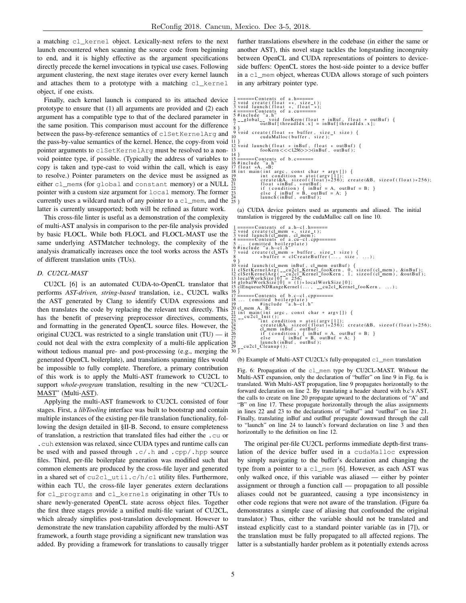a matching cl\_kernel object. Lexically-next refers to the next launch encountered when scanning the source code from beginning to end, and it is highly effective as the argument specifications directly precede the kernel invocations in typical use cases. Following argument clustering, the next stage iterates over every kernel launch and attaches them to a prototype with a matching cl\_kernel object, if one exists.

Finally, each kernel launch is compared to its attached device prototype to ensure that (1) all arguments are provided and (2) each argument has a compatible type to that of the declared parameter in the same position. This comparison must account for the difference between the pass-by-reference semantics of clSetKernelArg and the pass-by-value semantics of the kernel. Hence, the copy-from void pointer arguments to clSetKernelArg must be resolved to a nonvoid pointee type, if possible. (Typically the address of variables to copy is taken and type-cast to void within the call, which is easy to resolve.) Pointer parameters on the device must be assigned as either cl\_mems (for global and constant memory) or a NULL pointer with a custom size argument for local memory. The former currently uses a wildcard match of any pointer to a  $cl$ <sub>mem</sub>, and the  $\frac{24}{25}$ } latter is currently unsupported; both will be refined as future work.

This cross-file linter is useful as a demonstration of the complexity of multi-AST analysis in comparison to the per-file analysis provided by basic FLOCL. While both FLOCL and FLOCL-MAST use the same underlying ASTMatcher technology, the complexity of the analysis dramatically increases once the tool works across the ASTs of different translation units (TUs).

#### *D. CU2CL-MAST*

CU2CL [6] is an automated CUDA-to-OpenCL translator that performs *AST-driven, string-based* translation, i.e., CU2CL walks the AST generated by Clang to identify CUDA expressions and then translates the code by replacing the relevant text directly. This has the benefit of preserving preprocessor directives, comments, and formatting in the generated OpenCL source files. However, the  $\frac{24}{25}$ original CU2CL was restricted to a single translation unit  $(TU)$  — it could not deal with the extra complexity of a multi-file application without tedious manual pre- and post-processing (e.g., merging the generated OpenCL boilerplate), and translations spanning files would be impossible to fully complete. Therefore, a primary contribution of this work is to apply the Multi-AST framework to CU2CL to support *whole-program* translation, resulting in the new "CU2CL-MAST" (Multi-AST).

Applying the multi-AST framework to CU2CL consisted of four stages. First, a *libTooling* interface was built to bootstrap and contain multiple instances of the existing per-file translation functionality, following the design detailed in §II-B. Second, to ensure completeness of translation, a restriction that translated files had either the .cu or .cuh extension was relaxed, since CUDA types and runtime calls can be used with and passed through .c/.h and .cpp/.hpp source files. Third, per-file boilerplate generation was modified such that common elements are produced by the cross-file layer and generated in a shared set of cu2cl\_util.c/h/cl utility files. Furthermore, within each TU, the cross-file layer generates extern declarations for cl\_programs and cl\_kernels originating in other TUs to share newly-generated OpenCL state across object files. Together the first three stages provide a unified multi-file variant of CU2CL, which already simplifies post-translation development. However to demonstrate the new translation capability afforded by the multi-AST framework, a fourth stage providing a significant new translation was added. By providing a framework for translations to causally trigger

further translations elsewhere in the codebase (in either the same or another AST), this novel stage tackles the longstanding incongruity between OpenCL and CUDA representations of pointers to deviceside buffers: OpenCL stores the host-side pointer to a device buffer in a cl\_mem object, whereas CUDA allows storage of such pointers in any arbitrary pointer type.

```
==C on tents of a.h====2 void create(float **, size_t);<br>3 void launch(float *, float *);<br>4 ======Contents of a.cu=======<br>5 #include "a.h"
   6 gl o b al v oi d f o oKe r n ( f l o a t * i nB u f , f l o a t * o utB u f ) {
7 o utB u f [ t h r e a d I d x . x ] = i nB u f [ t h r e a d I d x . x ] ;
 8 }
9 v oi d c r e a t e ( f l o a t ** b u f f e r , s i z e t s i z e ) {
10 c u d aM all o c ( b u f f e r , s i z e ) ;
 11 }
12 v oi d l a u n c h ( f l o a t * i nB u f , f l o a t * o utB u f ) {
13 fooKe rn<<<1,256>>>(i nB u f , o utB u f ) ;
\frac{13}{14} }
                        Contents of b \cdot c == ==16 # include "a.h"<br>17 float *A, *B;
 18 int main (int arge, const char * argy []) {<br>
19<br>
19 int condition = atoi(argy [1]);<br>
create (&A, sizeof(float)*256); create (&B, sizeof(float)*256);<br>
22 if (condition) { inBuf = A, outBuf = B; }<br>
else { inBuf = B, outB
```
(a) CUDA device pointers used as arguments and aliased. The initial translation is triggered by the cudaMalloc call on line 10.

```
1 ====== Contents of a.h-cl.h======<br>2 void create (cl_mem *, size_t);<br>3 void launch (cl_mem, cl_mem);<br>4 ===== Contents of a.cu-cl.cpp======
 5 ... (omitted boilerplate)<br>6#include "a.h—cl.h"
 7 v oi d c r e a t e ( cl mem * b u f f e r , s i z e t s i z e ) {
8 * b u f f e r = c l C r e a t e B u f f e r ( . . . , s i z e , . . . ) ;
9 }<br>10 void launch(cl_mem inBuf, cl_mem outBuf) {
ll clSetKernelArg(__cu2cl_Kernel_fooKern , 0,`sizeof(cl_mem), &inBuf);<br>12 clSetKernelArg(__cu2cl_Kernel_fooKern , 1, sizeof(cl_mem), &outBuf);<br>13 localWorkSize[0] = 256;
14 globalWorkSize[Ö] = (1)*localWorkSize[O];<br>15 clEnqueueNDRangeKernel(..., __cu2cl_Kernel_fooKern, ...);
16 }<br>17 ====== Contents of b.c−cl.cpp======
18 ... (omitted boilerplate) 1<br>19 #include "a.h—cl.h"<br>20 cl_mem A, B;
21 int main(int arge, const char * argv[]) {<br>22 -_cu2e1_Init();<br>23 -_cu2e1_int condition = atoi(argv[1]);<br>24 - create(&A, sizeof(float)*256); create(&B, sizeof(float)*256);<br>cl_mem_inBuf, outBuf; cl_mem_ing(float)*256);<br>26 
27 e lse { in Bu f = B, out Bu f = A; }<br>28 launch (in Bu f, out Bu f);
29 __cu2cl_Cleanup ();<br>30 }
```
(b) Example of Multi-AST CU2CL's fully-propagated cl\_mem translation

Fig. 6: Propagation of the cl\_mem type by CU2CL-MAST. Without the Multi-AST expansion, only the declaration of "buffer" on line 9 in Fig. 6a is translated. With Multi-AST propagation, line 9 propagates horizontally to the forward declaration on line 2. By translating a header shared with b.c's AST, the calls to create on line 20 propagate upward to the declarations of "A" and "B" on line 17. These propagate horizontally through the alias assignments in lines 22 and 23 to the declarations of "inBuf" and "outBuf" on line 21. Finally, translating inBuf and outBuf propagate downward through the call to "launch" on line 24 to launch's forward declaration on line 3 and then horizontally to the definition on line 12.

The original per-file CU2CL performs immediate depth-first translation of the device buffer used in a cudaMalloc expression by simply navigating to the buffer's declaration and changing the type from a pointer to a cl\_mem [6]. However, as each AST was only walked once, if this variable was aliased — either by pointer assignment or through a function call — propagation to all possible aliases could not be guaranteed, causing a type inconsistency in other code regions that were not aware of the translation. (Figure 6a demonstrates a simple case of aliasing that confounded the original translator.) Thus, either the variable should not be translated and instead explicitly cast to a standard pointer variable (as in [7]), or the translation must be fully propagated to all affected regions. The latter is a substantially harder problem as it potentially extends across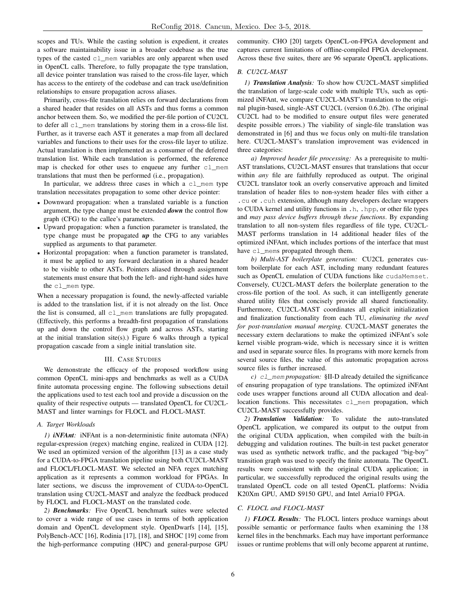scopes and TUs. While the casting solution is expedient, it creates a software maintainability issue in a broader codebase as the true types of the casted cl\_mem variables are only apparent when used in OpenCL calls. Therefore, to fully propagate the type translation, all device pointer translation was raised to the cross-file layer, which has access to the entirety of the codebase and can track use/definition relationships to ensure propagation across aliases.

Primarily, cross-file translation relies on forward declarations from a shared header that resides on all ASTs and thus forms a common anchor between them. So, we modified the per-file portion of CU2CL to defer all cl\_mem translations by storing them in a cross-file list. Further, as it traverse each AST it generates a map from all declared variables and functions to their uses for the cross-file layer to utilize. Actual translation is then implemented as a consumer of the deferred translation list. While each translation is performed, the reference map is checked for other uses to enqueue any further cl\_mem translations that must then be performed (i.e., propagation).

In particular, we address three cases in which a cl\_mem type translation necessitates propagation to some other device pointer:

- Downward propagation: when a translated variable is a function argument, the type change must be extended *down* the control flow graph (CFG) to the callee's parameters.
- Upward propagation: when a function parameter is translated, the type change must be propagated *up* the CFG to any variables supplied as arguments to that parameter.
- Horizontal propagation: when a function parameter is translated, it must be applied to any forward declaration in a shared header to be visible to other ASTs. Pointers aliased through assignment statements must ensure that both the left- and right-hand sides have the cl\_mem type.

When a necessary propagation is found, the newly-affected variable is added to the translation list, if it is not already on the list. Once the list is consumed, all cl\_mem translations are fully propagated. (Effectively, this performs a breadth-first propagation of translations up and down the control flow graph and across ASTs, starting at the initial translation site(s).) Figure 6 walks through a typical propagation cascade from a single initial translation site.

### III. CASE STUDIES

We demonstrate the efficacy of the proposed workflow using common OpenCL mini-apps and benchmarks as well as a CUDA finite automata processing engine. The following subsections detail the applications used to test each tool and provide a discussion on the quality of their respective outputs — translated OpenCL for CU2CL-MAST and linter warnings for FLOCL and FLOCL-MAST.

## *A. Target Workloads*

*1) iNFAnt:* iNFAnt is a non-deterministic finite automata (NFA) regular-expression (regex) matching engine, realized in CUDA [12]. We used an optimized version of the algorithm [13] as a case study for a CUDA-to-FPGA translation pipeline using both CU2CL-MAST and FLOCL/FLOCL-MAST. We selected an NFA regex matching application as it represents a common workload for FPGAs. In later sections, we discuss the improvement of CUDA-to-OpenCL translation using CU2CL-MAST and analyze the feedback produced by FLOCL and FLOCL-MAST on the translated code.

*2) Benchmarks:* Five OpenCL benchmark suites were selected to cover a wide range of use cases in terms of both application domain and OpenCL development style. OpenDwarfs [14], [15], PolyBench-ACC [16], Rodinia [17], [18], and SHOC [19] come from the high-performance computing (HPC) and general-purpose GPU community. CHO [20] targets OpenCL-on-FPGA development and captures current limitations of offline-compiled FPGA development. Across these five suites, there are 96 separate OpenCL applications.

## *B. CU2CL-MAST*

*1) Translation Analysis:* To show how CU2CL-MAST simplified the translation of large-scale code with multiple TUs, such as optimized iNFAnt, we compare CU2CL-MAST's translation to the original plugin-based, single-AST CU2CL (version 0.6.2b). (The original CU2CL had to be modified to ensure output files were generated despite possible errors.) The viability of single-file translation was demonstrated in [6] and thus we focus only on multi-file translation here. CU2CL-MAST's translation improvement was evidenced in three categories:

*a) Improved header file processing:* As a prerequisite to multi-AST translations, CU2CL-MAST ensures that translations that occur within *any* file are faithfully reproduced as output. The original CU2CL translator took an overly conservative approach and limited translation of header files to non-system header files with either a .cu or .cuh extension, although many developers declare wrappers to CUDA kernel and utility functions in .h, .hpp, or other file types and *may pass device buffers through these functions*. By expanding translation to all non-system files regardless of file type, CU2CL-MAST performs translation in 14 additional header files of the optimized iNFAnt, which includes portions of the interface that must have cl\_mems propagated through them.

*b) Multi-AST boilerplate generation:* CU2CL generates custom boilerplate for each AST, including many redundant features such as OpenCL emulation of CUDA functions like cudaMemset. Conversely, CU2CL-MAST defers the boilerplate generation to the cross-file portion of the tool. As such, it can intelligently generate shared utility files that concisely provide all shared functionality. Furthermore, CU2CL-MAST coordinates all explicit initialization and finalization functionality from each TU, *eliminating the need for post-translation manual merging*. CU2CL-MAST generates the necessary extern declarations to make the optimized iNFAnt's sole kernel visible program-wide, which is necessary since it is written and used in separate source files. In programs with more kernels from several source files, the value of this automatic propagation across source files is further increased.

*c)* cl\_mem *propagation:* §II-D already detailed the significance of ensuring propagation of type translations. The optimized iNFAnt code uses wrapper functions around all CUDA allocation and deallocation functions. This necessitates cl\_mem propagation, which CU2CL-MAST successfully provides.

*2) Translation Validation:* To validate the auto-translated OpenCL application, we compared its output to the output from the original CUDA application, when compiled with the built-in debugging and validation routines. The built-in test packet generator was used as synthetic network traffic, and the packaged "big-boy" transition graph was used to specify the finite automata. The OpenCL results were consistent with the original CUDA application; in particular, we successfully reproduced the original results using the translated OpenCL code on all tested OpenCL platforms: Nvidia K20Xm GPU, AMD S9150 GPU, and Intel Arria10 FPGA.

## *C. FLOCL and FLOCL-MAST*

*1) FLOCL Results:* The FLOCL linters produce warnings about possible semantic or performance faults when examining the 138 kernel files in the benchmarks. Each may have important performance issues or runtime problems that will only become apparent at runtime,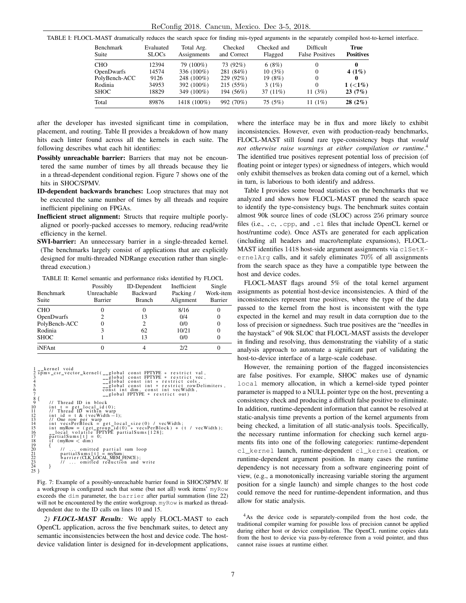| ReConfig 2018. Cancun, Mexico. Dec 3-5, 2018. |  |  |  |  |
|-----------------------------------------------|--|--|--|--|
|-----------------------------------------------|--|--|--|--|

TABLE I: FLOCL-MAST dramatically reduces the search space for finding mis-typed arguments in the separately compiled host-to-kernel interface.

| Evaluated<br><b>SLOCs</b> | Total Arg.<br>Assignments | Checked<br>and Correct | Checked and<br>Flagged | Difficult<br><b>False Positives</b> | True<br><b>Positives</b> |
|---------------------------|---------------------------|------------------------|------------------------|-------------------------------------|--------------------------|
| 12394                     | 79 (100%)                 | 73 (92%)               | 6(8%)                  | 0                                   |                          |
| 14574                     | 336 (100%)                | 281 (84%)              | 10(3%)                 | $\Omega$                            | 4 $(1\%)$                |
| 9126                      | 248 (100%)                | 229 (92%)              | 19(8%)                 | 0                                   |                          |
| 34953                     | 392 (100%)                | 215 (55%)              | 3(1%)                  | 0                                   | $1 (< 1\%)$              |
| 18829                     | 349 (100%)                | 194 (56%)              | 37 $(11%)$             | 11 $(3%)$                           | 23(7%)                   |
| 89876                     | 1418 (100%)               | 992 (70%)              | 75 (5%)                | 11 $(1%)$                           | 28(2%)                   |
|                           |                           |                        |                        |                                     |                          |

after the developer has invested significant time in compilation, placement, and routing. Table II provides a breakdown of how many hits each linter found across all the kernels in each suite. The following describes what each hit identifies:

- Possibly unreachable barrier: Barriers that may not be encountered the same number of times by all threads because they lie in a thread-dependent conditional region. Figure 7 shows one of the hits in SHOC/SPMV.
- ID-dependent backwards branches: Loop structures that may not be executed the same number of times by all threads and require inefficient pipelining on FPGAs.
- Inefficient struct alignment: Structs that require multiple poorlyaligned or poorly-packed accesses to memory, reducing read/write efficiency in the kernel.
- SWI-barrier: An unnecessary barrier in a single-threaded kernel. (The benchmarks largely consist of applications that are explicitly designed for multi-threaded NDRange execution rather than singlethread execution.)

TABLE II: Kernel semantic and performance risks identified by FLOCL

| <b>Benchmark</b><br>Suite | Possibly<br>Unreachable<br>Barrier | <b>ID-Dependent</b><br>Backward<br><b>Branch</b> | Inefficient<br>Packing /<br>Alignment | Single<br>Work-item<br>Barrier |
|---------------------------|------------------------------------|--------------------------------------------------|---------------------------------------|--------------------------------|
| <b>CHO</b>                |                                    |                                                  | 8/16                                  |                                |
| OpenDwarfs                |                                    | 13                                               | 0/4                                   |                                |
| PolyBench-ACC             |                                    | 2                                                | 0/0                                   |                                |
| Rodinia                   |                                    | 62                                               | 10/21                                 |                                |
| <b>SHOC</b>               |                                    | 13                                               | 0/0                                   |                                |
| iNFAnt                    |                                    |                                                  | 2/2                                   |                                |

```
1 __kernel void<br>
2 spmv_csr_vector_kernel(__global const FPTYPE * restrict val,<br>
4 ___global const int * restrict cols,<br>
5 ___global const int * restrict cols<br>
5 ___global const int * restrict rowDelimiters,<br>
const int * r
  8 {
9<br>
10 Int t = get_local_id (0);<br>
11 Int t = get_local_id (0);<br>
11 id = t & (vecWidth -1);<br>
2 int id = t & (vecWidth -1);<br>
13 Il one row per warp<br>
15 Int myRow = get_prop= d(0) / vecWidth;<br>
15 int myRow = (calcal_example d(
19 {
20 // ... omitted partial sum loop<br>21 partialSums[t] = mySum;<br>22 barrier(CLK_LOCAL_MEM_FENCE);<br>// ... omitted reduction and write
24 }
25 }
```
Fig. 7: Example of a possibly-unreachable barrier found in SHOC/SPMV. If a workgroup is configured such that some (but not all) work items' myRow exceeds the dim parameter, the barrier after partial summation (line 22) will not be encountered by the entire workgroup. myRow is marked as threaddependent due to the ID calls on lines 10 and 15.

*2) FLOCL-MAST Results:* We apply FLOCL-MAST to each OpenCL application, across the five benchmark suites, to detect any semantic inconsistencies between the host and device code. The hostdevice validation linter is designed for in-development applications,

where the interface may be in flux and more likely to exhibit inconsistencies. However, even with production-ready benchmarks, FLOCL-MAST still found rare type-consistency bugs that *would not otherwise raise warnings at either compilation or runtime*. 4 The identified true positives represent potential loss of precision (of floating point or integer types) or signedness of integers, which would only exhibit themselves as broken data coming out of a kernel, which in turn, is laborious to both identify and address.

Table I provides some broad statistics on the benchmarks that we analyzed and shows how FLOCL-MAST pruned the search space to identify the type-consistency bugs. The benchmark suites contain almost 90k source lines of code (SLOC) across 256 primary source files (i.e., .c, .cpp, and .cl files that include OpenCL kernel or host/runtime code). Once ASTs are generated for each application (including all headers and macro/template expansions), FLOCL-MAST identifies 1418 host-side argument assignments via clSetKernelArg calls, and it safely eliminates 70% of all assignments from the search space as they have a compatible type between the host and device codes.

FLOCL-MAST flags around 5% of the total kernel argument assignments as potential host-device inconsistencies. A third of the inconsistencies represent true positives, where the type of the data passed to the kernel from the host is inconsistent with the type expected in the kernel and may result in data corruption due to the loss of precision or signedness. Such true positives are the "needles in the haystack" of 90k SLOC that FLOCL-MAST assists the developer in finding and resolving, thus demonstrating the viability of a static analysis approach to automate a significant part of validating the host-to-device interface of a large-scale codebase.

However, the remaining portion of the flagged inconsistencies are false positives. For example, SHOC makes use of dynamic local memory allocation, in which a kernel-side typed pointer parameter is mapped to a NULL pointer type on the host, preventing a consistency check and producing a difficult false positive to eliminate. In addition, runtime-dependent information that cannot be resolved at static-analysis time prevents a portion of the kernel arguments from being checked, a limitation of all static-analysis tools. Specifically, the necessary runtime information for checking such kernel arguments fits into one of the following categories: runtime-dependent cl\_kernel launch, runtime-dependent cl\_kernel creation, or runtime-dependent argument position. In many cases the runtime dependency is not necessary from a software engineering point of view, (e.g., a monotonically increasing variable storing the argument position for a single launch) and simple changes to the host code could remove the need for runtime-dependent information, and thus allow for static analysis.

<sup>4</sup>As the device code is separately-compiled from the host code, the traditional compiler warning for possible loss of precision cannot be applied during either host or device compilation. The OpenCL runtime copies data from the host to device via pass-by-reference from a void pointer, and thus cannot raise issues at runtime either.